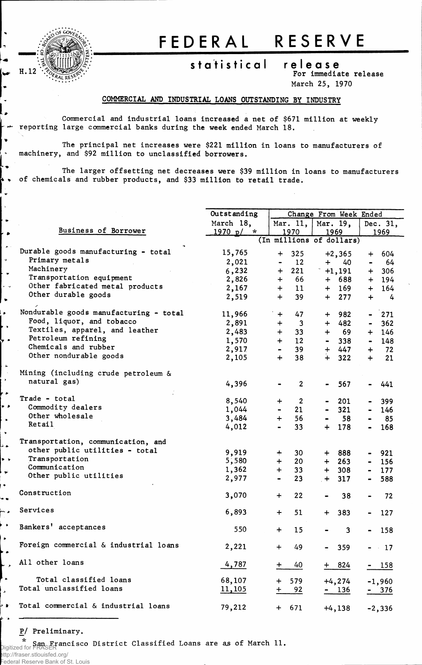

 $\ddot{\phantom{1}}$ ι, نبد بیا  $\bullet$  $\sim$ ۳.

 $\bullet$ 

 $\overline{a}$ 

٠.

 $\bullet$ 

Н,

 $\overline{\phantom{a}}$  $\rightarrow$  $\bullet$ 

 $\ddot{\phantom{a}}$  $\ddot{\phantom{1}}$ ه د  $\ddot{\phantom{1}}$ 

į.

## FEDERA L RESERV E

## **statistica l releas e**

**For immediate release**

**March 25, 1970**

## **COMMERCIAL AND INDUSTRIAL LOANS OUTSTANDING BY INDUSTRY**

**Commercial and industrial loans increased a net of \$671 million at weekly reporting large commercial banks during the week ended March 18.**

**The principal net increases were \$221 million in loans to manufacturers of machinery, and \$92 million to unclassified borrowers.**

**The larger offsetting net decreases were \$39 million in loans to manufacturers k » of chemicals and rubber products, and \$33 million to retail trade.**

|                         |                                        | Outstanding   |                | Change From Week Ended   |                              |                         |                |                |  |  |
|-------------------------|----------------------------------------|---------------|----------------|--------------------------|------------------------------|-------------------------|----------------|----------------|--|--|
|                         |                                        | March 18,     |                | Mar. $11,$<br>Mar. 19,   |                              |                         |                | Dec. 31,       |  |  |
|                         | Business of Borrower                   | 1970 p / r    |                | 1970                     | 1969                         |                         | 1969           |                |  |  |
|                         |                                        |               |                | (In millions of dollars) |                              |                         |                |                |  |  |
| $\blacktriangleright$ : | Durable goods manufacturing - total    | 15,765        | $\div$         | 325                      |                              | $+2,365$                | $\div$         | 604            |  |  |
| ÷,                      | Primary metals                         | 2,021         |                | 12                       | $+$                          | 40                      | $\blacksquare$ | 64             |  |  |
|                         | Machinery                              | 6,232         | $+$            | 221                      |                              | $+1,191$                |                | $+ 306$        |  |  |
|                         | Transportation equipment               | 2,826         | $+$            | 66                       | $+$                          | 688                     |                | $+ 194$        |  |  |
|                         | Other fabricated metal products        | 2,167         | $+$            | 11                       |                              | $+ 169$                 |                | $+ 164$        |  |  |
| $\bullet$               | Other durable goods                    | 2,519         | $+$            | 39                       | $+$                          | 277                     | $+$            | $\overline{4}$ |  |  |
|                         |                                        |               |                |                          |                              |                         |                |                |  |  |
|                         | Nondurable goods manufacturing - total | 11,966        | $+$            | 47                       | $+$                          | 982                     | $\blacksquare$ | 271            |  |  |
|                         | Food, liquor, and tobacco              | 2,891         | $+$            | $\mathbf{3}$             | $+$                          | 482                     | $\blacksquare$ | 362            |  |  |
| $\bullet$               | Textiles, apparel, and leather         | 2,483         | $+$            | 33                       | $+$                          | 69                      |                | $+ 146$        |  |  |
|                         | Petroleum refining                     | 1,570         | $+$            | 12                       | $\blacksquare$               | 338                     | $\blacksquare$ | 148            |  |  |
|                         | Chemicals and rubber                   | 2,917         | $\blacksquare$ | 39                       |                              | + 447                   | $+$            | 72             |  |  |
|                         | Other nondurable goods                 | 2,105         | $\ddot{+}$     | 38                       | $+$                          | 322                     | $+$            | 21             |  |  |
| L.                      |                                        |               |                |                          |                              |                         |                |                |  |  |
|                         | Mining (including crude petroleum &    |               |                |                          |                              |                         |                |                |  |  |
| ۲.                      | natural gas)                           | 4,396         |                | $\overline{2}$           | $\blacksquare$               | 567                     |                | 441            |  |  |
| ٠                       |                                        |               |                |                          |                              |                         |                |                |  |  |
|                         | Trade - total                          | 8,540         | $+$            | $\overline{2}$           |                              | 201                     |                | 399            |  |  |
| ۰,                      | Commodity dealers                      | 1,044         | $\blacksquare$ | 21                       | $\blacksquare$               | 321                     | $\blacksquare$ | 146            |  |  |
| $\bullet$               | Other wholesale                        | 3,484         | $+$            | 56                       | $\blacksquare$               | 58                      |                | 85             |  |  |
|                         | Retail                                 | 4,012         |                | 33                       | $+$                          | 178                     | $\blacksquare$ | 168            |  |  |
| ¥                       |                                        |               |                |                          |                              |                         |                |                |  |  |
|                         | Transportation, communication, and     |               |                |                          |                              |                         |                |                |  |  |
|                         | other public utilities - total         | 9,919         | $+$            | 30                       | $+$                          | 888                     | $\blacksquare$ | 921            |  |  |
| ۰,                      | Transportation                         | 5,580         | $+$            | 20                       | $+$                          | 263                     | $\blacksquare$ | 156            |  |  |
| نو                      | Communication                          | 1,362         | $+$            | 33                       | $+$                          | 308                     |                | $-177$         |  |  |
|                         | Other public utilities                 | 2,977         |                | 23                       | $+$                          | 317                     | $\blacksquare$ | 588            |  |  |
|                         |                                        |               |                |                          |                              |                         |                |                |  |  |
| $\bullet$               | Construction                           | 3,070         | $+$            | 22                       | $\qquad \qquad \blacksquare$ | 38                      |                | 72             |  |  |
|                         | Services                               |               |                |                          |                              |                         |                |                |  |  |
| ÷.                      |                                        | 6,893         | $+$            | 51                       | $+$                          | 383                     |                | 127            |  |  |
| $\bullet$               | Bankers' acceptances                   |               |                |                          |                              |                         |                |                |  |  |
|                         |                                        | 550           | $+$            | 15                       |                              | $\overline{\mathbf{3}}$ |                | 158            |  |  |
|                         | Foreign commercial & industrial loans  |               |                |                          |                              |                         |                |                |  |  |
| $\bullet$               |                                        | 2,221         | $+$            | 49                       | $\blacksquare$               | 359                     |                | $- 17$         |  |  |
|                         | All other loans                        |               |                |                          |                              |                         |                |                |  |  |
|                         |                                        | 4,787         | $\div$         | 40                       | $+$                          | 824                     |                | $-158$         |  |  |
| ٠                       | Total classified loans                 | 68,107        | $\ddot{}$      | 579                      |                              | $+4, 274$               |                | $-1,960$       |  |  |
|                         | Total unclassified loans               | <u>11,105</u> | $+$            |                          |                              |                         |                |                |  |  |
|                         |                                        |               |                | 92                       |                              | $-136$                  |                | <u>- 376</u>   |  |  |
| Þ.                      | Total commercial & industrial loans    | 79,212        |                |                          |                              |                         |                |                |  |  |
|                         |                                        |               |                | $+ 671$                  |                              | $+4,138$                |                | $-2,336$       |  |  |

## **P/ Preliminary.**

**San Francisco District Classified Loans are as of March 11.** Digitized for FRASER

http://fraser.stlouisfed.org/ Federal Reserve Bank of St. Louis